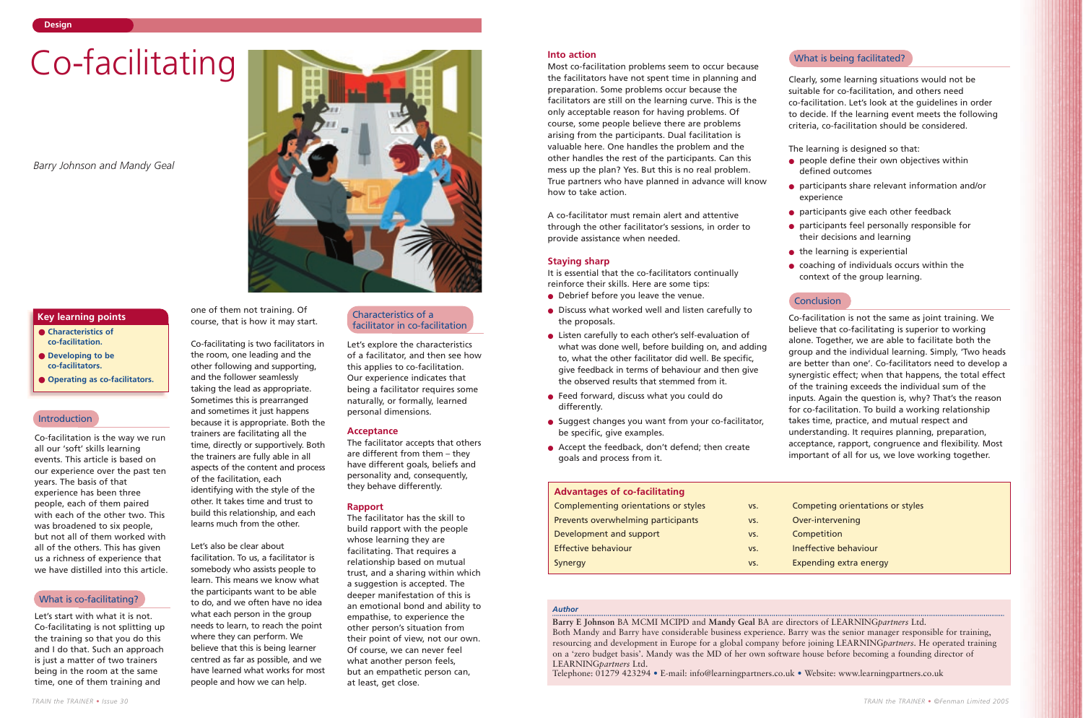Co-facilitation is the way we run all our 'soft' skills learning events. This article is based on our experience over the past ten years. The basis of that experience has been three people, each of them paired with each of the other two. This was broadened to six people, but not all of them worked with all of the others. This has given us a richness of experience that we have distilled into this article.

Let's start with what it is not. Co-facilitating is not splitting up the training so that you do this and I do that. Such an approach is just a matter of two trainers being in the room at the same time, one of them training and

one of them not training. Of course, that is how it may start.

Co-facilitating is two facilitators in the room, one leading and the other following and supporting, and the follower seamlessly taking the lead as appropriate. Sometimes this is prearranged and sometimes it just happens because it is appropriate. Both the trainers are facilitating all the time, directly or supportively. Both the trainers are fully able in all aspects of the content and process of the facilitation, each identifying with the style of the other. It takes time and trust to build this relationship, and each learns much from the other.

Let's also be clear about facilitation. To us, a facilitator is somebody who assists people to learn. This means we know what the participants want to be able to do, and we often have no idea what each person in the group needs to learn, to reach the point where they can perform. We believe that this is being learner centred as far as possible, and we have learned what works for most people and how we can help.

Let's explore the characteristics of a facilitator, and then see how this applies to co-facilitation. Our experience indicates that being a facilitator requires some naturally, or formally, learned personal dimensions.

# **Acceptance**

The facilitator accepts that others are different from them – they have different goals, beliefs and personality and, consequently, they behave differently.

# **Rapport**

The facilitator has the skill to build rapport with the people whose learning they are facilitating. That requires a relationship based on mutual trust, and a sharing within which a suggestion is accepted. The deeper manifestation of this is an emotional bond and ability to empathise, to experience the other person's situation from their point of view, not our own. Of course, we can never feel what another person feels, but an empathetic person can, at least, get close.

- **Characteristics of co-facilitation.**
- **Developing to be co-facilitators.**
- **Operating as co-facilitators.**

# **Key learning points**

# Co-facilitating

*Barry Johnson and Mandy Geal*

#### *Author*

**Barry E Johnson** BA MCMI MCIPD and **Mandy Geal** BA are directors of LEARNING*partners* Ltd. Both Mandy and Barry have considerable business experience. Barry was the senior manager responsible for training, resourcing and development in Europe for a global company before joining LEARNING*partners*. He operated training on a 'zero budget basis'. Mandy was the MD of her own software house before becoming a founding director of LEARNING*partners* Ltd.

Telephone: 01279 423294 • E-mail: info@learningpartners.co.uk • Website: www.learningpartners.co.uk

#### **Into action**

Most co-facilitation problems seem to occur because the facilitators have not spent time in planning and preparation. Some problems occur because the facilitators are still on the learning curve. This is the only acceptable reason for having problems. Of course, some people believe there are problems arising from the participants. Dual facilitation is valuable here. One handles the problem and the other handles the rest of the participants. Can this mess up the plan? Yes. But this is no real problem. True partners who have planned in advance will know how to take action.

A co-facilitator must remain alert and attentive through the other facilitator's sessions, in order to provide assistance when needed.

# **Staying sharp**

It is essential that the co-facilitators continually reinforce their skills. Here are some tips:

- Debrief before you leave the venue.
- Discuss what worked well and listen carefully to the proposals.
- Listen carefully to each other's self-evaluation of what was done well, before building on, and adding to, what the other facilitator did well. Be specific, give feedback in terms of behaviour and then give the observed results that stemmed from it.
- Feed forward, discuss what you could do differently.
- Suggest changes you want from your co-facilitator, be specific, give examples.
- Accept the feedback, don't defend; then create goals and process from it.

Clearly, some learning situations would not be suitable for co-facilitation, and others need co-facilitation. Let's look at the guidelines in order to decide. If the learning event meets the following criteria, co-facilitation should be considered.

The learning is designed so that: ● people define their own objectives within defined outcomes

● participants share relevant information and/or

● participants give each other feedback

● participants feel personally responsible for

● coaching of individuals occurs within the

ntations or styles

- 
- experience
- 
- their decisions and learning
	- $\bullet$  the learning is experiential
	- context of the group learning.

# **Conclusion**

Co-facilitation is not the same as joint training. We believe that co-facilitating is superior to working alone. Together, we are able to facilitate both the group and the individual learning. Simply, 'Two heads are better than one'. Co-facilitators need to develop a synergistic effect; when that happens, the total effect of the training exceeds the individual sum of the inputs. Again the question is, why? That's the reason for co-facilitation. To build a working relationship takes time, practice, and mutual respect and understanding. It requires planning, preparation, acceptance, rapport, congruence and flexibility. Most important of all for us, we love working together.

# Introduction

# What is co-facilitating?

# What is being facilitated?

# Characteristics of a facilitator in co-facilitation

# **Advantages of co-facilitating**

| Complementing orientations or styles | VS. | <b>Competing orientations</b> |
|--------------------------------------|-----|-------------------------------|
| Prevents overwhelming participants   | VS. | Over-intervening              |
| Development and support              | VS. | Competition                   |
| <b>Effective behaviour</b>           | VS. | Ineffective behaviour         |
| Synergy                              | VS. | Expending extra energy        |
|                                      |     |                               |